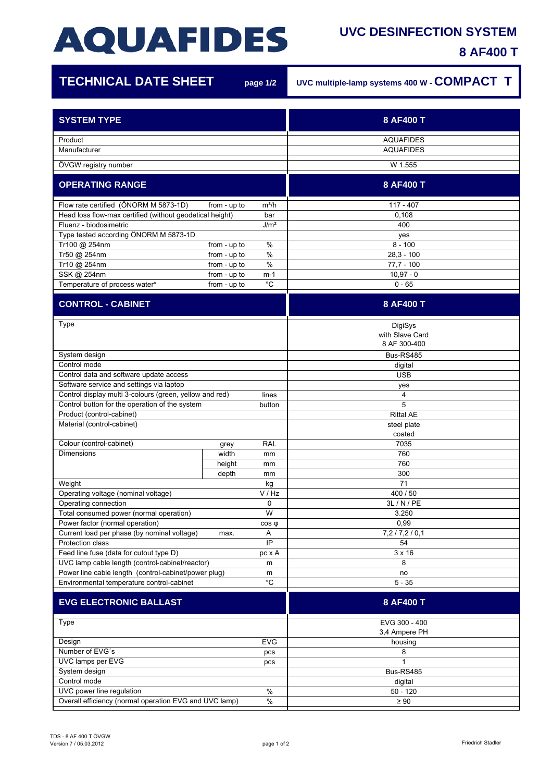## **AQUAFIDES**

## **UVC DESINFECTION SYSTEM**

**8 AF400 T**

1Ì

| <b>TECHNICAL DATE SHEET</b>                                                 | page 1/2                              | UVC multiple-lamp systems 400 W - COMPACT T |
|-----------------------------------------------------------------------------|---------------------------------------|---------------------------------------------|
| <b>SYSTEM TYPE</b>                                                          |                                       | 8 AF400 T                                   |
|                                                                             |                                       |                                             |
| Product                                                                     |                                       | <b>AQUAFIDES</b>                            |
| Manufacturer                                                                |                                       | <b>AQUAFIDES</b>                            |
| ÖVGW registry number                                                        |                                       | W 1.555                                     |
| <b>OPERATING RANGE</b>                                                      |                                       | 8 AF400 T                                   |
| Flow rate certified (ÖNORM M 5873-1D)<br>from - up to<br>$m^3/h$            |                                       | $117 - 407$                                 |
| Head loss flow-max certified (without geodetical height)<br>bar             |                                       | 0,108                                       |
| Fluenz - biodosimetric                                                      | J/m <sup>2</sup>                      | 400                                         |
| Type tested according ÖNORM M 5873-1D                                       |                                       | yes                                         |
| $\%$<br>Tr100 @ 254nm<br>from - up to                                       |                                       | $8 - 100$                                   |
| Tr50 @ 254nm<br>Tr10 @ 254nm                                                | $\frac{0}{0}$<br>from - up to<br>$\%$ | $28,3 - 100$<br>$77,7 - 100$                |
| SSK @ 254nm                                                                 | from - up to<br>from - up to<br>m-1   | $10,97 - 0$                                 |
| Temperature of process water*                                               | $^{\circ}C$<br>from - up to           | $0 - 65$                                    |
| <b>CONTROL - CABINET</b>                                                    |                                       | 8 AF400 T                                   |
|                                                                             |                                       |                                             |
| Type                                                                        |                                       | DigiSys                                     |
|                                                                             |                                       | with Slave Card<br>8 AF 300-400             |
| System design                                                               |                                       | Bus-RS485                                   |
| Control mode                                                                |                                       | digital                                     |
| Control data and software update access                                     |                                       | <b>USB</b>                                  |
| Software service and settings via laptop                                    |                                       | yes                                         |
| Control display multi 3-colours (green, yellow and red)<br>lines            |                                       | 4                                           |
| Control button for the operation of the system<br>button                    |                                       | 5                                           |
| Product (control-cabinet)                                                   |                                       | <b>Rittal AE</b>                            |
| Material (control-cabinet)                                                  |                                       | steel plate                                 |
| Colour (control-cabinet)<br><b>RAL</b>                                      |                                       | coated<br>7035                              |
| <b>Dimensions</b>                                                           | grey<br>width<br>mm                   | 760                                         |
|                                                                             | height<br>mm                          | 760                                         |
|                                                                             | depth<br>mm                           | 300                                         |
| Weight                                                                      | kg                                    | 71                                          |
| Operating voltage (nominal voltage)<br>V / Hz                               |                                       | 400 / 50                                    |
| Operating connection<br>$\Omega$                                            |                                       | 3L / N / PE                                 |
| W<br>Total consumed power (normal operation)                                |                                       | 3.250                                       |
| Power factor (normal operation)                                             | $cos \phi$                            | 0,99                                        |
| Current load per phase (by nominal voltage)                                 | Α<br>max.                             | 7,2/7,2/0,1<br>54                           |
| IP<br>Protection class<br>Feed line fuse (data for cutout type D)<br>pc x A |                                       | $3 \times 16$                               |
| UVC lamp cable length (control-cabinet/reactor)<br>m                        |                                       | 8                                           |
| Power line cable length (control-cabinet/power plug)<br>m                   |                                       | no                                          |
| $^{\circ}C$<br>Environmental temperature control-cabinet                    |                                       | $5 - 35$                                    |
| <b>EVG ELECTRONIC BALLAST</b>                                               |                                       | 8 AF400 T                                   |
| Type                                                                        |                                       | EVG 300 - 400                               |
|                                                                             |                                       | 3,4 Ampere PH                               |
| Design<br><b>EVG</b>                                                        |                                       | housing                                     |
| Number of EVG's<br>pcs                                                      |                                       | 8                                           |
| UVC lamps per EVG<br>pcs<br>System design                                   |                                       | 1<br>Bus-RS485                              |
| Control mode                                                                |                                       | digital                                     |
| UVC power line regulation<br>%                                              |                                       | $50 - 120$                                  |
| Overall efficiency (normal operation EVG and UVC lamp)<br>$\%$              |                                       | $\geq 90$                                   |